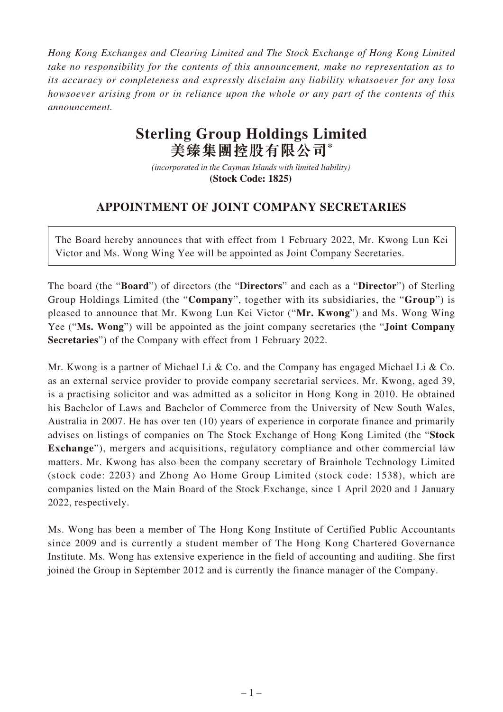*Hong Kong Exchanges and Clearing Limited and The Stock Exchange of Hong Kong Limited take no responsibility for the contents of this announcement, make no representation as to its accuracy or completeness and expressly disclaim any liability whatsoever for any loss howsoever arising from or in reliance upon the whole or any part of the contents of this announcement.*

## **Sterling Group Holdings Limited 美臻集團控股有限公司\***

*(incorporated in the Cayman Islands with limited liability)*  **(Stock Code: 1825)** 

## **APPOINTMENT OF JOINT COMPANY SECRETARIES**

The Board hereby announces that with effect from 1 February 2022, Mr. Kwong Lun Kei Victor and Ms. Wong Wing Yee will be appointed as Joint Company Secretaries.

The board (the "**Board**") of directors (the "**Directors**" and each as a "**Director**") of Sterling Group Holdings Limited (the "**Company**", together with its subsidiaries, the "**Group**") is pleased to announce that Mr. Kwong Lun Kei Victor ("**Mr. Kwong**") and Ms. Wong Wing Yee ("**Ms. Wong**") will be appointed as the joint company secretaries (the "**Joint Company Secretaries**") of the Company with effect from 1 February 2022.

Mr. Kwong is a partner of Michael Li & Co. and the Company has engaged Michael Li & Co. as an external service provider to provide company secretarial services. Mr. Kwong, aged 39, is a practising solicitor and was admitted as a solicitor in Hong Kong in 2010. He obtained his Bachelor of Laws and Bachelor of Commerce from the University of New South Wales, Australia in 2007. He has over ten (10) years of experience in corporate finance and primarily advises on listings of companies on The Stock Exchange of Hong Kong Limited (the "**Stock Exchange**"), mergers and acquisitions, regulatory compliance and other commercial law matters. Mr. Kwong has also been the company secretary of Brainhole Technology Limited (stock code: 2203) and Zhong Ao Home Group Limited (stock code: 1538), which are companies listed on the Main Board of the Stock Exchange, since 1 April 2020 and 1 January 2022, respectively.

Ms. Wong has been a member of The Hong Kong Institute of Certified Public Accountants since 2009 and is currently a student member of The Hong Kong Chartered Governance Institute. Ms. Wong has extensive experience in the field of accounting and auditing. She first joined the Group in September 2012 and is currently the finance manager of the Company.